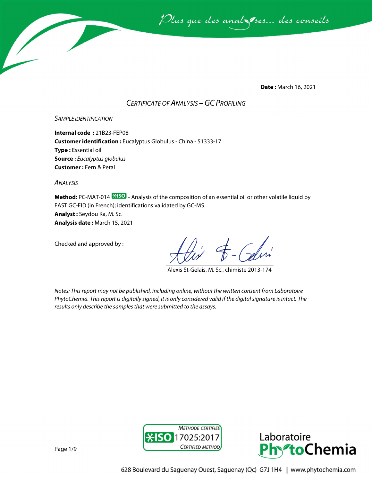

**Date :** March 16, 2021

## *CERTIFICATE OF ANALYSIS –GC PROFILING*

#### *SAMPLE IDENTIFICATION*

**Internal code :** 21B23-FEP08 **Customer identification :** Eucalyptus Globulus - China - 51333-17 **Type :** Essential oil **Source :** *Eucalyptus globulus* **Customer :** Fern & Petal

*ANALYSIS*

**Method:** PC-MAT-014  $\frac{1250}{12}$  - Analysis of the composition of an essential oil or other volatile liquid by FAST GC-FID (in French); identifications validated by GC-MS. **Analyst :** Seydou Ka, M. Sc. **Analysis date :** March 15, 2021

Checked and approved by :

Alexis St-Gelais, M. Sc., chimiste 2013-174

*Notes: This report may not be published, including online, without the written consent from Laboratoire PhytoChemia. This report is digitally signed, it is only considered valid if the digital signature is intact. The results only describe the samples that were submitted to the assays.*



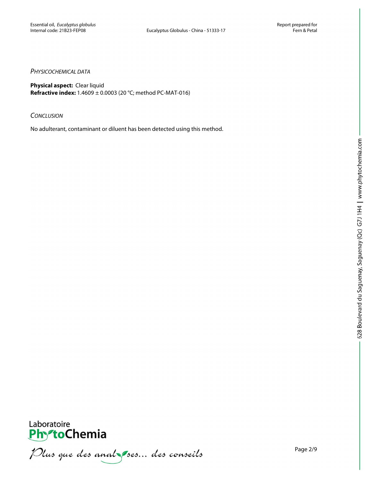#### *PHYSICOCHEMICAL DATA*

**Physical aspect:** Clear liquid **Refractive index:** 1.4609 ± 0.0003 (20 °C; method PC-MAT-016)

#### *CONCLUSION*

No adulterant, contaminant or diluent has been detected using this method.



**PhytoChemia**<br>*PhytoChemia*<br>*Plus que des analyses... des conseils*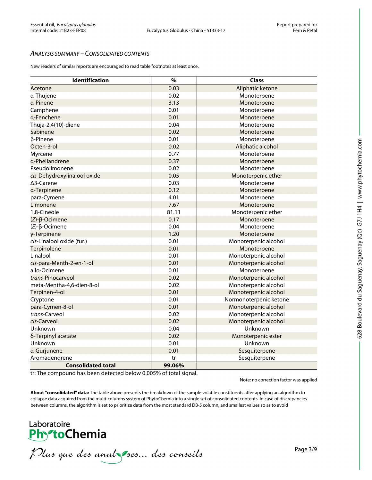#### *ANALYSIS SUMMARY – CONSOLIDATED CONTENTS*

New readers of similar reports are encouraged to read table footnotes at least once.

| Identification              | $\frac{9}{6}$ | <b>Class</b>           |
|-----------------------------|---------------|------------------------|
| Acetone                     | 0.03          | Aliphatic ketone       |
| a-Thujene                   | 0.02          | Monoterpene            |
| a-Pinene                    | 3.13          | Monoterpene            |
| Camphene                    | 0.01          | Monoterpene            |
| a-Fenchene                  | 0.01          | Monoterpene            |
| Thuja-2,4(10)-diene         | 0.04          | Monoterpene            |
| Sabinene                    | 0.02          | Monoterpene            |
| β-Pinene                    | 0.01          | Monoterpene            |
| Octen-3-ol                  | 0.02          | Aliphatic alcohol      |
| Myrcene                     | 0.77          | Monoterpene            |
| a-Phellandrene              | 0.37          | Monoterpene            |
| Pseudolimonene              | 0.02          | Monoterpene            |
| cis-Dehydroxylinalool oxide | 0.05          | Monoterpenic ether     |
| ∆3-Carene                   | 0.03          | Monoterpene            |
| a-Terpinene                 | 0.12          | Monoterpene            |
| para-Cymene                 | 4.01          | Monoterpene            |
| Limonene                    | 7.67          | Monoterpene            |
| 1,8-Cineole                 | 81.11         | Monoterpenic ether     |
| $(Z)$ - $\beta$ -Ocimene    | 0.17          | Monoterpene            |
| $(E)-\beta$ -Ocimene        | 0.04          | Monoterpene            |
| γ-Terpinene                 | 1.20          | Monoterpene            |
| cis-Linalool oxide (fur.)   | 0.01          | Monoterpenic alcohol   |
| Terpinolene                 | 0.01          | Monoterpene            |
| Linalool                    | 0.01          | Monoterpenic alcohol   |
| cis-para-Menth-2-en-1-ol    | 0.01          | Monoterpenic alcohol   |
| allo-Ocimene                | 0.01          | Monoterpene            |
| trans-Pinocarveol           | 0.02          | Monoterpenic alcohol   |
| meta-Mentha-4,6-dien-8-ol   | 0.02          | Monoterpenic alcohol   |
| Terpinen-4-ol               | 0.01          | Monoterpenic alcohol   |
| Cryptone                    | 0.01          | Normonoterpenic ketone |
| para-Cymen-8-ol             | 0.01          | Monoterpenic alcohol   |
| trans-Carveol               | 0.02          | Monoterpenic alcohol   |
| cis-Carveol                 | 0.02          | Monoterpenic alcohol   |
| Unknown                     | 0.04          | Unknown                |
| δ-Terpinyl acetate          | 0.02          | Monoterpenic ester     |
| Unknown                     | 0.01          | Unknown                |
| a-Gurjunene                 | 0.01          | Sesquiterpene          |
| Aromadendrene               | tr            | Sesquiterpene          |
| <b>Consolidated total</b>   | 99.06%        |                        |

tr: The compound has been detected below 0.005% of total signal.

Note: no correction factor was applied

**About "consolidated" data:** The table above presents the breakdown of the sample volatile constituents after applying an algorithm to collapse data acquired from the multi-columns system of PhytoChemia into a single set of consolidated contents. In case of discrepancies between columns, the algorithm is set to prioritize data from the most standard DB-5 column, and smallest values so as to avoid

# Laboratoire **PhytoChemia**

Plus que des anal ses... des conseils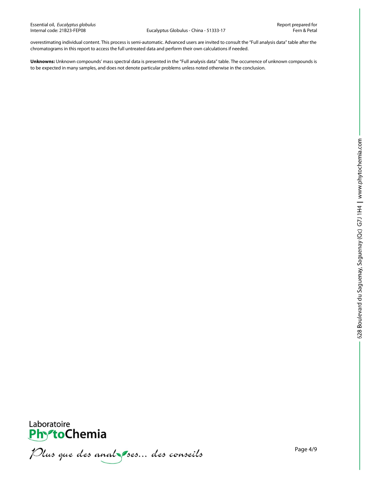Eucalyptus Globulus - China - 51333-17

overestimating individual content. This process is semi-automatic. Advanced users are invited to consult the "Full analysis data" table after the chromatograms in this report to access the full untreated data and perform their own calculations if needed.

**Unknowns:** Unknown compounds' mass spectral data is presented in the "Full analysis data" table. The occurrence of unknown compounds is to be expected in many samples, and does not denote particular problems unless noted otherwise in the conclusion.



Plus que des analzes... des conseils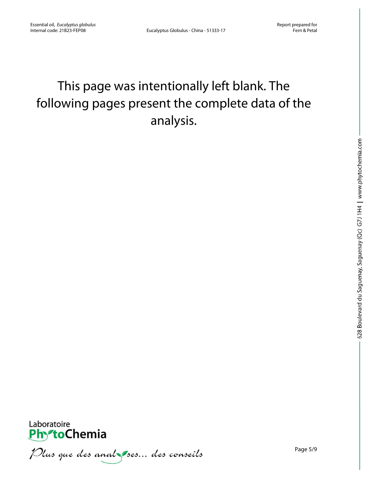# This page was intentionally left blank. The following pages present the complete data of the analysis.



Plus que des anal ses... des conseils

Page 5/9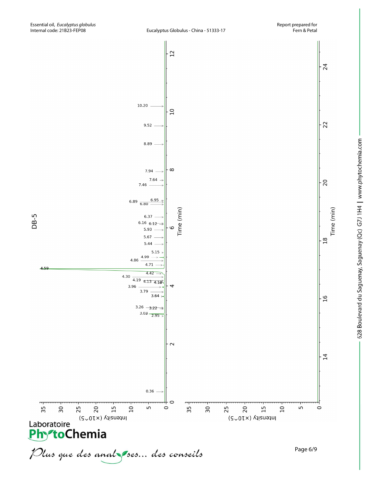

Time (min)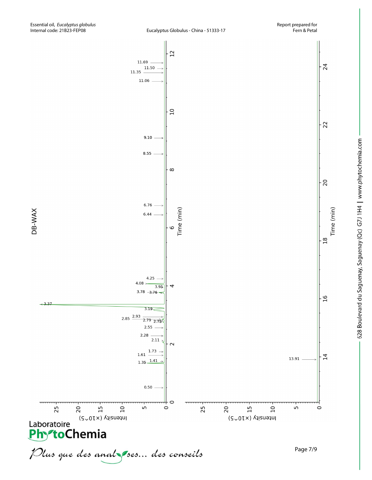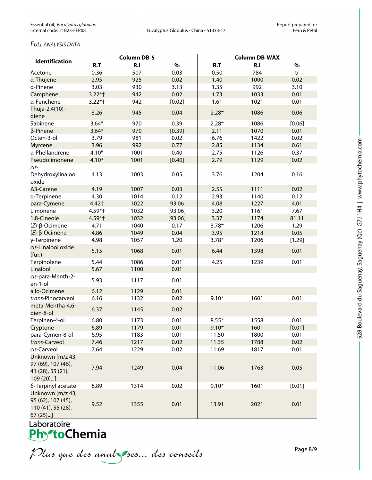### *FULL ANALYSIS DATA*

| <b>Identification</b>                                                      | <b>Column DB-5</b> |      |         | <b>Column DB-WAX</b> |      |        |  |
|----------------------------------------------------------------------------|--------------------|------|---------|----------------------|------|--------|--|
|                                                                            | R.T                | R.I  | $\%$    | R.T                  | R.I  | $\%$   |  |
| Acetone                                                                    | 0.36               | 507  | 0.03    | 0.50                 | 784  | tr     |  |
| a-Thujene                                                                  | 2.95               | 925  | 0.02    | 1.40                 | 1000 | 0.02   |  |
| a-Pinene                                                                   | 3.03               | 930  | 3.13    | 1.35                 | 992  | 3.10   |  |
| Camphene                                                                   | $3.22*$ †          | 942  | 0.02    | 1.73                 | 1033 | 0.01   |  |
| a-Fenchene                                                                 | $3.22*$ †          | 942  | [0.02]  | 1.61                 | 1021 | 0.01   |  |
| Thuja-2,4(10)-<br>diene                                                    | 3.26               | 945  | 0.04    | $2.28*$              | 1086 | 0.06   |  |
| Sabinene                                                                   | $3.64*$            | 970  | 0.39    | $2.28*$              | 1086 | [0.06] |  |
| $\beta$ -Pinene                                                            | $3.64*$            | 970  | [0.39]  | 2.11                 | 1070 | 0.01   |  |
| Octen-3-ol                                                                 | 3.79               | 981  | 0.02    | 6.76                 | 1422 | 0.02   |  |
| <b>Myrcene</b>                                                             | 3.96               | 992  | 0.77    | 2.85                 | 1134 | 0.61   |  |
| a-Phellandrene                                                             | $4.10*$            | 1001 | 0.40    | 2.75                 | 1126 | 0.37   |  |
| Pseudolimonene                                                             | $4.10*$            | 1001 | [0.40]  | 2.79                 | 1129 | 0.02   |  |
| cis-<br>Dehydroxylinalool<br>oxide                                         | 4.13               | 1003 | 0.05    | 3.76                 | 1204 | 0.16   |  |
| ∆3-Carene                                                                  | 4.19               | 1007 | 0.03    | 2.55                 | 1111 | 0.02   |  |
| a-Terpinene                                                                | 4.30               | 1014 | 0.12    | 2.93                 | 1140 | 0.12   |  |
| para-Cymene                                                                | 4.42+              | 1022 | 93.06   | 4.08                 | 1227 | 4.01   |  |
| Limonene                                                                   | 4.59*†             | 1032 | [93.06] | 3.20                 | 1161 | 7.67   |  |
| 1,8-Cineole                                                                | 4.59*†             | 1032 | [93.06] | 3.37                 | 1174 | 81.11  |  |
| $(Z)-\beta$ -Ocimene                                                       | 4.71               | 1040 | 0.17    | $3.78*$              | 1206 | 1.29   |  |
| $(E)$ -β-Ocimene                                                           | 4.86               | 1049 | 0.04    | 3.95                 | 1218 | 0.05   |  |
| γ-Terpinene                                                                | 4.98               | 1057 | 1.20    | $3.78*$              | 1206 | [1.29] |  |
| cis-Linalool oxide<br>(fur.)                                               | 5.15               | 1068 | 0.01    | 6.44                 | 1398 | 0.01   |  |
| Terpinolene                                                                | 5.44               | 1086 | 0.01    | 4.25                 | 1239 | 0.01   |  |
| Linalool                                                                   | 5.67               | 1100 | 0.01    |                      |      |        |  |
| cis-para-Menth-2-<br>en-1-ol                                               | 5.93               | 1117 | 0.01    |                      |      |        |  |
| allo-Ocimene                                                               | 6.12               | 1129 | 0.01    |                      |      |        |  |
| trans-Pinocarveol                                                          | 6.16               | 1132 | 0.02    | $9.10*$              | 1601 | 0.01   |  |
| meta-Mentha-4,6-<br>dien-8-ol                                              | 6.37               | 1145 | 0.02    |                      |      |        |  |
| Terpinen-4-ol                                                              | 6.80               | 1173 | 0.01    | $8.55*$              | 1558 | 0.01   |  |
| Cryptone                                                                   | 6.89               | 1179 | 0.01    | $9.10*$              | 1601 | [0.01] |  |
| para-Cymen-8-ol                                                            | 6.95               | 1183 | 0.01    | 11.50                | 1800 | 0.01   |  |
| trans-Carveol                                                              | 7.46               | 1217 | 0.02    | 11.35                | 1788 | 0.02   |  |
| cis-Carveol                                                                | 7.64               | 1229 | 0.02    | 11.69                | 1817 | 0.01   |  |
| Unknown [m/z 43,<br>97 (69), 107 (46),<br>41 (28), 55 (21),<br>109 (20)]   | 7.94               | 1249 | 0.04    | 11.06                | 1763 | 0.05   |  |
| δ-Terpinyl acetate                                                         | 8.89               | 1314 | 0.02    | $9.10*$              | 1601 | [0.01] |  |
| Unknown [m/z 43,<br>95 (62), 107 (45),<br>110 (41), 55 (28),<br>$67(25)$ ] | 9.52               | 1355 | 0.01    | 13.91                | 2021 | 0.01   |  |

Laboratoire<br>**Phy<sup>s</sup>toChemia** 

Plus que des analzes... des conseils